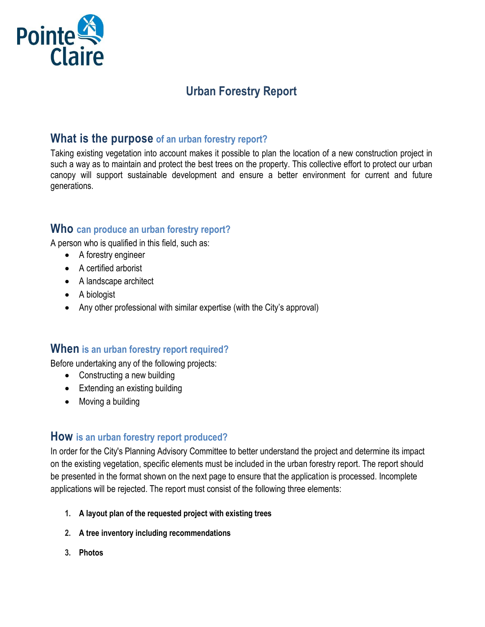

# **Urban Forestry Report**

## **What is the purpose of an urban forestry report?**

Taking existing vegetation into account makes it possible to plan the location of a new construction project in such a way as to maintain and protect the best trees on the property. This collective effort to protect our urban canopy will support sustainable development and ensure a better environment for current and future generations.

### **Who can produce an urban forestry report?**

A person who is qualified in this field, such as:

- A forestry engineer
- A certified arborist
- A landscape architect
- A biologist
- Any other professional with similar expertise (with the City's approval)

### **When is an urban forestry report required?**

Before undertaking any of the following projects:

- Constructing a new building
- Extending an existing building
- Moving a building

### **How is an urban forestry report produced?**

In order for the City's Planning Advisory Committee to better understand the project and determine its impact on the existing vegetation, specific elements must be included in the urban forestry report. The report should be presented in the format shown on the next page to ensure that the application is processed. Incomplete applications will be rejected. The report must consist of the following three elements:

- **1. A layout plan of the requested project with existing trees**
- **2. A tree inventory including recommendations**
- **3. Photos**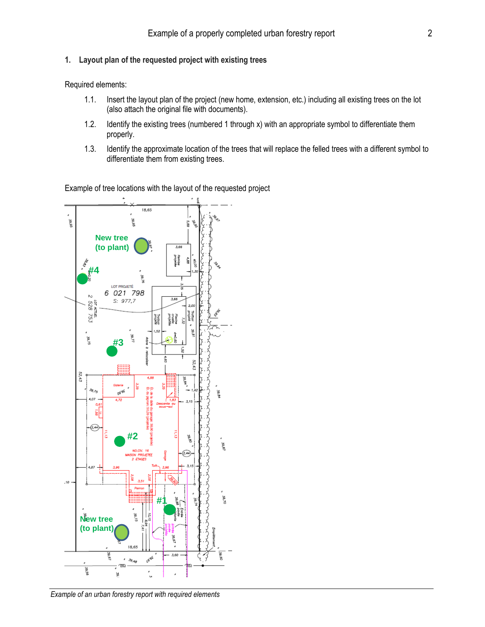#### **1. Layout plan of the requested project with existing trees**

Required elements:

- 1.1. Insert the layout plan of the project (new home, extension, etc.) including all existing trees on the lot (also attach the original file with documents).
- 1.2. Identify the existing trees (numbered 1 through x) with an appropriate symbol to differentiate them properly.
- 1.3. Identify the approximate location of the trees that will replace the felled trees with a different symbol to differentiate them from existing trees.

Example of tree locations with the layout of the requested project



*Example of an urban forestry report with required elements*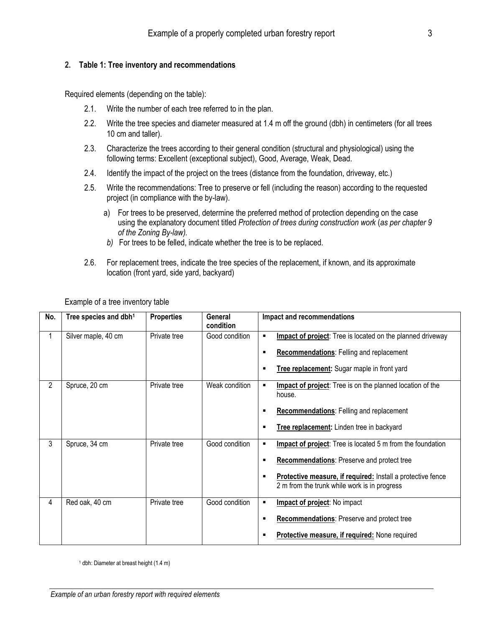#### **2. Table 1: Tree inventory and recommendations**

Required elements (depending on the table):

- 2.1. Write the number of each tree referred to in the plan.
- 2.2. Write the tree species and diameter measured at 1.4 m off the ground (dbh) in centimeters (for all trees 10 cm and taller).
- 2.3. Characterize the trees according to their general condition (structural and physiological) using the following terms: Excellent (exceptional subject), Good, Average, Weak, Dead.
- 2.4. Identify the impact of the project on the trees (distance from the foundation, driveway, etc.)
- 2.5. Write the recommendations: Tree to preserve or fell (including the reason) according to the requested project (in compliance with the by-law).
	- a) For trees to be preserved, determine the preferred method of protection depending on the case using the explanatory document titled *Protection of trees during construction work* (*as per chapter 9 of the Zoning By-law).*
	- *b)* For trees to be felled, indicate whether the tree is to be replaced.
- 2.6. For replacement trees, indicate the tree species of the replacement, if known, and its approximate location (front yard, side yard, backyard)

| No.            | Tree species and dbh <sup>1</sup> | <b>Properties</b> | General<br>condition | Impact and recommendations                                                                                                                                                                                                             |
|----------------|-----------------------------------|-------------------|----------------------|----------------------------------------------------------------------------------------------------------------------------------------------------------------------------------------------------------------------------------------|
| 1              | Silver maple, 40 cm               | Private tree      | Good condition       | Impact of project: Tree is located on the planned driveway<br>$\blacksquare$<br><b>Recommendations: Felling and replacement</b><br>п<br>Tree replacement: Sugar maple in front yard<br>п                                               |
| $\overline{2}$ | Spruce, 20 cm                     | Private tree      | Weak condition       | Impact of project: Tree is on the planned location of the<br>٠<br>house.<br><b>Recommendations: Felling and replacement</b><br>п<br>Tree replacement: Linden tree in backyard<br>п                                                     |
| 3              | Spruce, 34 cm                     | Private tree      | Good condition       | Impact of project: Tree is located 5 m from the foundation<br>п<br>Recommendations: Preserve and protect tree<br>п<br>Protective measure, if required: Install a protective fence<br>п<br>2 m from the trunk while work is in progress |
| 4              | Red oak, 40 cm                    | Private tree      | Good condition       | Impact of project: No impact<br>$\blacksquare$<br><b>Recommendations:</b> Preserve and protect tree<br>п<br>Protective measure, if required: None required                                                                             |

Example of a tree inventory table

<sup>1</sup> dbh: Diameter at breast height (1.4 m)